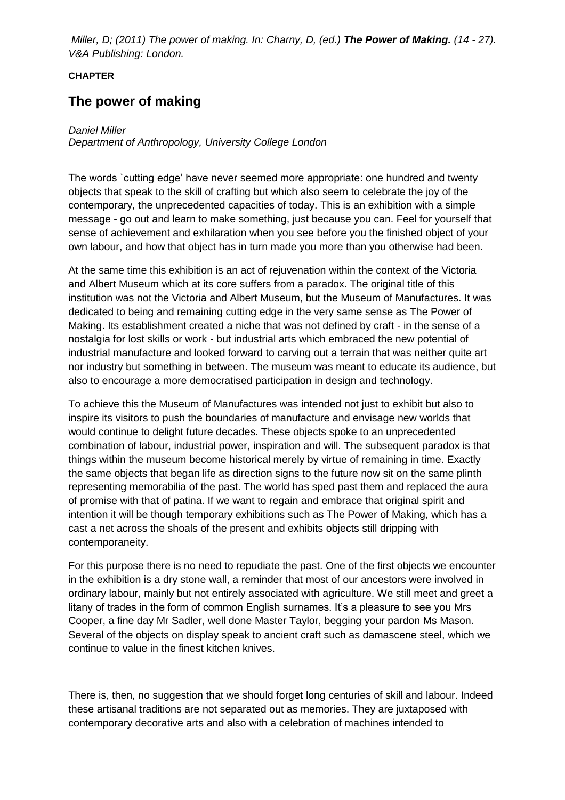*Miller, D; (2011) The power of making. In: Charny, D, (ed.) The Power of Making. (14 - 27). V&A Publishing: London.*

## **CHAPTER**

## **The power of making**

## *Daniel Miller*

*Department of Anthropology, University College London*

The words `cutting edge' have never seemed more appropriate: one hundred and twenty objects that speak to the skill of crafting but which also seem to celebrate the joy of the contemporary, the unprecedented capacities of today. This is an exhibition with a simple message - go out and learn to make something, just because you can. Feel for yourself that sense of achievement and exhilaration when you see before you the finished object of your own labour, and how that object has in turn made you more than you otherwise had been.

At the same time this exhibition is an act of rejuvenation within the context of the Victoria and Albert Museum which at its core suffers from a paradox. The original title of this institution was not the Victoria and Albert Museum, but the Museum of Manufactures. It was dedicated to being and remaining cutting edge in the very same sense as The Power of Making. Its establishment created a niche that was not defined by craft - in the sense of a nostalgia for lost skills or work - but industrial arts which embraced the new potential of industrial manufacture and looked forward to carving out a terrain that was neither quite art nor industry but something in between. The museum was meant to educate its audience, but also to encourage a more democratised participation in design and technology.

To achieve this the Museum of Manufactures was intended not just to exhibit but also to inspire its visitors to push the boundaries of manufacture and envisage new worlds that would continue to delight future decades. These objects spoke to an unprecedented combination of labour, industrial power, inspiration and will. The subsequent paradox is that things within the museum become historical merely by virtue of remaining in time. Exactly the same objects that began life as direction signs to the future now sit on the same plinth representing memorabilia of the past. The world has sped past them and replaced the aura of promise with that of patina. If we want to regain and embrace that original spirit and intention it will be though temporary exhibitions such as The Power of Making, which has a cast a net across the shoals of the present and exhibits objects still dripping with contemporaneity.

For this purpose there is no need to repudiate the past. One of the first objects we encounter in the exhibition is a dry stone wall, a reminder that most of our ancestors were involved in ordinary labour, mainly but not entirely associated with agriculture. We still meet and greet a litany of trades in the form of common English surnames. It's a pleasure to see you Mrs Cooper, a fine day Mr Sadler, well done Master Taylor, begging your pardon Ms Mason. Several of the objects on display speak to ancient craft such as damascene steel, which we continue to value in the finest kitchen knives.

There is, then, no suggestion that we should forget long centuries of skill and labour. Indeed these artisanal traditions are not separated out as memories. They are juxtaposed with contemporary decorative arts and also with a celebration of machines intended to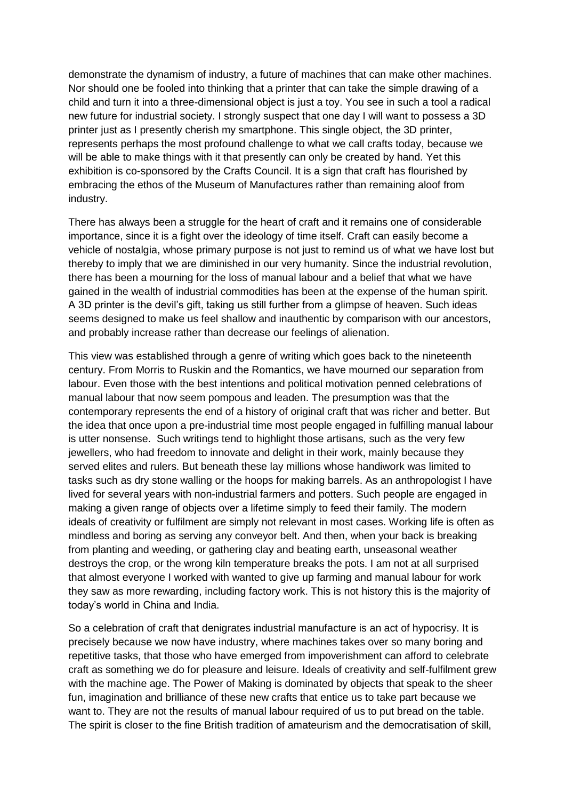demonstrate the dynamism of industry, a future of machines that can make other machines. Nor should one be fooled into thinking that a printer that can take the simple drawing of a child and turn it into a three-dimensional object is just a toy. You see in such a tool a radical new future for industrial society. I strongly suspect that one day I will want to possess a 3D printer just as I presently cherish my smartphone. This single object, the 3D printer, represents perhaps the most profound challenge to what we call crafts today, because we will be able to make things with it that presently can only be created by hand. Yet this exhibition is co-sponsored by the Crafts Council. It is a sign that craft has flourished by embracing the ethos of the Museum of Manufactures rather than remaining aloof from industry.

There has always been a struggle for the heart of craft and it remains one of considerable importance, since it is a fight over the ideology of time itself. Craft can easily become a vehicle of nostalgia, whose primary purpose is not just to remind us of what we have lost but thereby to imply that we are diminished in our very humanity. Since the industrial revolution, there has been a mourning for the loss of manual labour and a belief that what we have gained in the wealth of industrial commodities has been at the expense of the human spirit. A 3D printer is the devil's gift, taking us still further from a glimpse of heaven. Such ideas seems designed to make us feel shallow and inauthentic by comparison with our ancestors, and probably increase rather than decrease our feelings of alienation.

This view was established through a genre of writing which goes back to the nineteenth century. From Morris to Ruskin and the Romantics, we have mourned our separation from labour. Even those with the best intentions and political motivation penned celebrations of manual labour that now seem pompous and leaden. The presumption was that the contemporary represents the end of a history of original craft that was richer and better. But the idea that once upon a pre-industrial time most people engaged in fulfilling manual labour is utter nonsense. Such writings tend to highlight those artisans, such as the very few jewellers, who had freedom to innovate and delight in their work, mainly because they served elites and rulers. But beneath these lay millions whose handiwork was limited to tasks such as dry stone walling or the hoops for making barrels. As an anthropologist I have lived for several years with non-industrial farmers and potters. Such people are engaged in making a given range of objects over a lifetime simply to feed their family. The modern ideals of creativity or fulfilment are simply not relevant in most cases. Working life is often as mindless and boring as serving any conveyor belt. And then, when your back is breaking from planting and weeding, or gathering clay and beating earth, unseasonal weather destroys the crop, or the wrong kiln temperature breaks the pots. I am not at all surprised that almost everyone I worked with wanted to give up farming and manual labour for work they saw as more rewarding, including factory work. This is not history this is the majority of today's world in China and India.

So a celebration of craft that denigrates industrial manufacture is an act of hypocrisy. It is precisely because we now have industry, where machines takes over so many boring and repetitive tasks, that those who have emerged from impoverishment can afford to celebrate craft as something we do for pleasure and leisure. Ideals of creativity and self-fulfilment grew with the machine age. The Power of Making is dominated by objects that speak to the sheer fun, imagination and brilliance of these new crafts that entice us to take part because we want to. They are not the results of manual labour required of us to put bread on the table. The spirit is closer to the fine British tradition of amateurism and the democratisation of skill,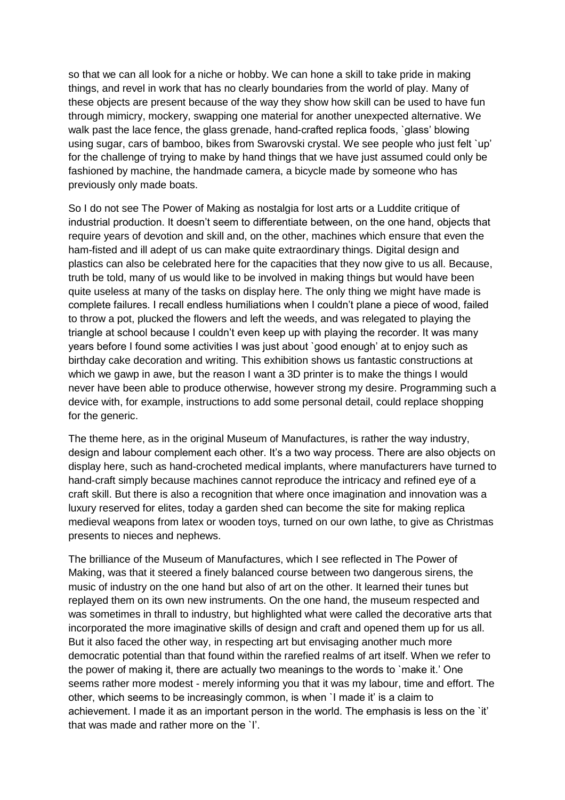so that we can all look for a niche or hobby. We can hone a skill to take pride in making things, and revel in work that has no clearly boundaries from the world of play. Many of these objects are present because of the way they show how skill can be used to have fun through mimicry, mockery, swapping one material for another unexpected alternative. We walk past the lace fence, the glass grenade, hand-crafted replica foods, `glass' blowing using sugar, cars of bamboo, bikes from Swarovski crystal. We see people who just felt `up' for the challenge of trying to make by hand things that we have just assumed could only be fashioned by machine, the handmade camera, a bicycle made by someone who has previously only made boats.

So I do not see The Power of Making as nostalgia for lost arts or a Luddite critique of industrial production. It doesn't seem to differentiate between, on the one hand, objects that require years of devotion and skill and, on the other, machines which ensure that even the ham-fisted and ill adept of us can make quite extraordinary things. Digital design and plastics can also be celebrated here for the capacities that they now give to us all. Because, truth be told, many of us would like to be involved in making things but would have been quite useless at many of the tasks on display here. The only thing we might have made is complete failures. I recall endless humiliations when I couldn't plane a piece of wood, failed to throw a pot, plucked the flowers and left the weeds, and was relegated to playing the triangle at school because I couldn't even keep up with playing the recorder. It was many years before I found some activities I was just about `good enough' at to enjoy such as birthday cake decoration and writing. This exhibition shows us fantastic constructions at which we gawp in awe, but the reason I want a 3D printer is to make the things I would never have been able to produce otherwise, however strong my desire. Programming such a device with, for example, instructions to add some personal detail, could replace shopping for the generic.

The theme here, as in the original Museum of Manufactures, is rather the way industry, design and labour complement each other. It's a two way process. There are also objects on display here, such as hand-crocheted medical implants, where manufacturers have turned to hand-craft simply because machines cannot reproduce the intricacy and refined eye of a craft skill. But there is also a recognition that where once imagination and innovation was a luxury reserved for elites, today a garden shed can become the site for making replica medieval weapons from latex or wooden toys, turned on our own lathe, to give as Christmas presents to nieces and nephews.

The brilliance of the Museum of Manufactures, which I see reflected in The Power of Making, was that it steered a finely balanced course between two dangerous sirens, the music of industry on the one hand but also of art on the other. It learned their tunes but replayed them on its own new instruments. On the one hand, the museum respected and was sometimes in thrall to industry, but highlighted what were called the decorative arts that incorporated the more imaginative skills of design and craft and opened them up for us all. But it also faced the other way, in respecting art but envisaging another much more democratic potential than that found within the rarefied realms of art itself. When we refer to the power of making it, there are actually two meanings to the words to `make it.' One seems rather more modest - merely informing you that it was my labour, time and effort. The other, which seems to be increasingly common, is when `I made it' is a claim to achievement. I made it as an important person in the world. The emphasis is less on the `it' that was made and rather more on the `I'.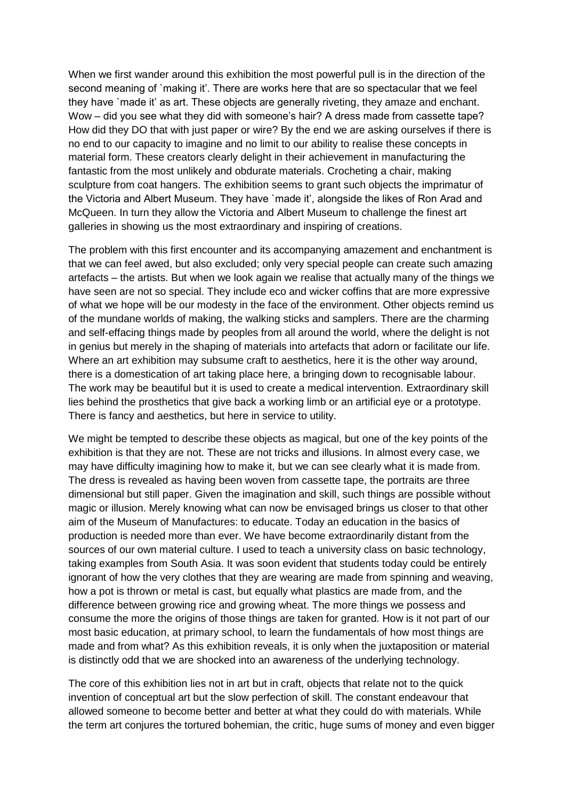When we first wander around this exhibition the most powerful pull is in the direction of the second meaning of `making it'. There are works here that are so spectacular that we feel they have `made it' as art. These objects are generally riveting, they amaze and enchant. Wow – did you see what they did with someone's hair? A dress made from cassette tape? How did they DO that with just paper or wire? By the end we are asking ourselves if there is no end to our capacity to imagine and no limit to our ability to realise these concepts in material form. These creators clearly delight in their achievement in manufacturing the fantastic from the most unlikely and obdurate materials. Crocheting a chair, making sculpture from coat hangers. The exhibition seems to grant such objects the imprimatur of the Victoria and Albert Museum. They have `made it', alongside the likes of Ron Arad and McQueen. In turn they allow the Victoria and Albert Museum to challenge the finest art galleries in showing us the most extraordinary and inspiring of creations.

The problem with this first encounter and its accompanying amazement and enchantment is that we can feel awed, but also excluded; only very special people can create such amazing artefacts – the artists. But when we look again we realise that actually many of the things we have seen are not so special. They include eco and wicker coffins that are more expressive of what we hope will be our modesty in the face of the environment. Other objects remind us of the mundane worlds of making, the walking sticks and samplers. There are the charming and self-effacing things made by peoples from all around the world, where the delight is not in genius but merely in the shaping of materials into artefacts that adorn or facilitate our life. Where an art exhibition may subsume craft to aesthetics, here it is the other way around, there is a domestication of art taking place here, a bringing down to recognisable labour. The work may be beautiful but it is used to create a medical intervention. Extraordinary skill lies behind the prosthetics that give back a working limb or an artificial eye or a prototype. There is fancy and aesthetics, but here in service to utility.

We might be tempted to describe these objects as magical, but one of the key points of the exhibition is that they are not. These are not tricks and illusions. In almost every case, we may have difficulty imagining how to make it, but we can see clearly what it is made from. The dress is revealed as having been woven from cassette tape, the portraits are three dimensional but still paper. Given the imagination and skill, such things are possible without magic or illusion. Merely knowing what can now be envisaged brings us closer to that other aim of the Museum of Manufactures: to educate. Today an education in the basics of production is needed more than ever. We have become extraordinarily distant from the sources of our own material culture. I used to teach a university class on basic technology, taking examples from South Asia. It was soon evident that students today could be entirely ignorant of how the very clothes that they are wearing are made from spinning and weaving, how a pot is thrown or metal is cast, but equally what plastics are made from, and the difference between growing rice and growing wheat. The more things we possess and consume the more the origins of those things are taken for granted. How is it not part of our most basic education, at primary school, to learn the fundamentals of how most things are made and from what? As this exhibition reveals, it is only when the juxtaposition or material is distinctly odd that we are shocked into an awareness of the underlying technology.

The core of this exhibition lies not in art but in craft, objects that relate not to the quick invention of conceptual art but the slow perfection of skill. The constant endeavour that allowed someone to become better and better at what they could do with materials. While the term art conjures the tortured bohemian, the critic, huge sums of money and even bigger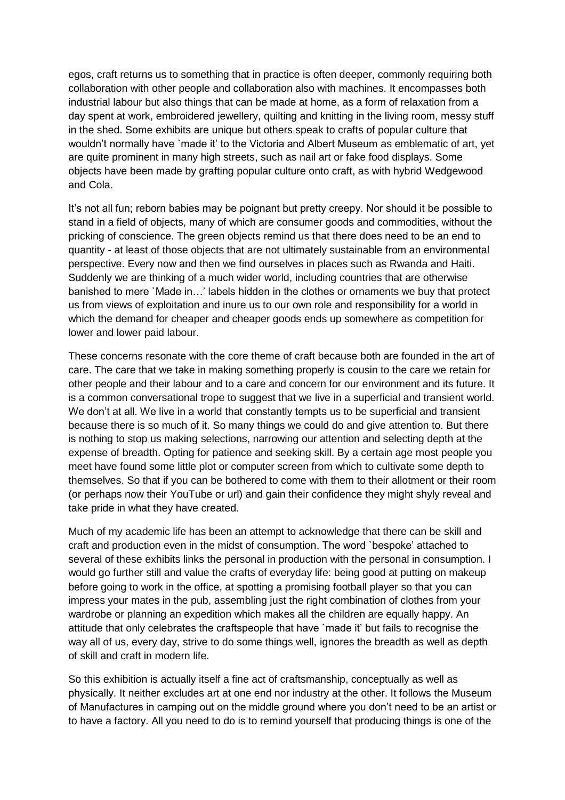egos, craft returns us to something that in practice is often deeper, commonly requiring both collaboration with other people and collaboration also with machines. It encompasses both industrial labour but also things that can be made at home, as a form of relaxation from a day spent at work, embroidered jewellery, quilting and knitting in the living room, messy stuff in the shed. Some exhibits are unique but others speak to crafts of popular culture that wouldn't normally have `made it' to the Victoria and Albert Museum as emblematic of art, yet are quite prominent in many high streets, such as nail art or fake food displays. Some objects have been made by grafting popular culture onto craft, as with hybrid Wedgewood and Cola.

It's not all fun; reborn babies may be poignant but pretty creepy. Nor should it be possible to stand in a field of objects, many of which are consumer goods and commodities, without the pricking of conscience. The green objects remind us that there does need to be an end to quantity - at least of those objects that are not ultimately sustainable from an environmental perspective. Every now and then we find ourselves in places such as Rwanda and Haiti. Suddenly we are thinking of a much wider world, including countries that are otherwise banished to mere `Made in…' labels hidden in the clothes or ornaments we buy that protect us from views of exploitation and inure us to our own role and responsibility for a world in which the demand for cheaper and cheaper goods ends up somewhere as competition for lower and lower paid labour.

These concerns resonate with the core theme of craft because both are founded in the art of care. The care that we take in making something properly is cousin to the care we retain for other people and their labour and to a care and concern for our environment and its future. It is a common conversational trope to suggest that we live in a superficial and transient world. We don't at all. We live in a world that constantly tempts us to be superficial and transient because there is so much of it. So many things we could do and give attention to. But there is nothing to stop us making selections, narrowing our attention and selecting depth at the expense of breadth. Opting for patience and seeking skill. By a certain age most people you meet have found some little plot or computer screen from which to cultivate some depth to themselves. So that if you can be bothered to come with them to their allotment or their room (or perhaps now their YouTube or url) and gain their confidence they might shyly reveal and take pride in what they have created.

Much of my academic life has been an attempt to acknowledge that there can be skill and craft and production even in the midst of consumption. The word `bespoke' attached to several of these exhibits links the personal in production with the personal in consumption. I would go further still and value the crafts of everyday life: being good at putting on makeup before going to work in the office, at spotting a promising football player so that you can impress your mates in the pub, assembling just the right combination of clothes from your wardrobe or planning an expedition which makes all the children are equally happy. An attitude that only celebrates the craftspeople that have `made it' but fails to recognise the way all of us, every day, strive to do some things well, ignores the breadth as well as depth of skill and craft in modern life.

So this exhibition is actually itself a fine act of craftsmanship, conceptually as well as physically. It neither excludes art at one end nor industry at the other. It follows the Museum of Manufactures in camping out on the middle ground where you don't need to be an artist or to have a factory. All you need to do is to remind yourself that producing things is one of the